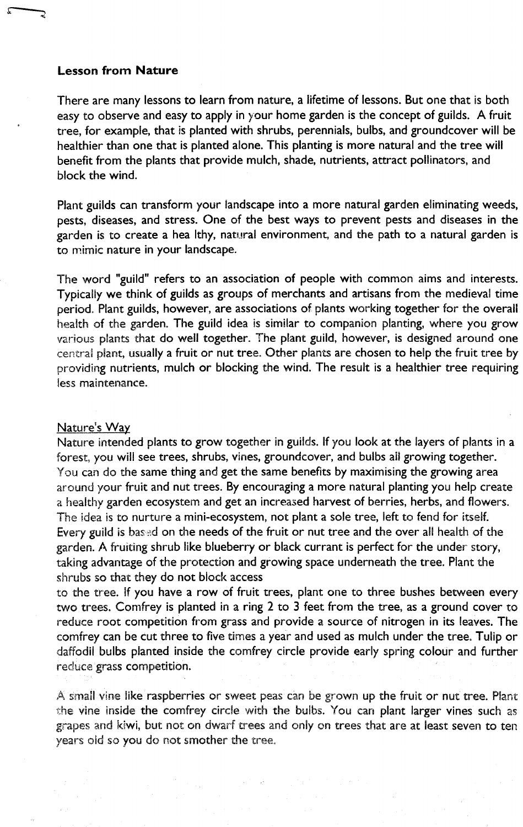## **Lesson from Nature**

There are many lessons to learn from nature, a lifetime of lessons. But one that is both easy to observe and easy to apply in your home garden is the concept of guilds. A fruit tree, for example, that is planted with shrubs, perennials, bulbs, and groundcover will be healthier than one that is planted alone. This planting is more natural and the tree will benefit from the plants that provide mulch, shade, nutrients, attract pollinators, and block the wind.

Plant guilds can transform your landscape into a more natural garden eliminating weeds, pests, diseases, and stress. One of the best ways to prevent pests and diseases in the garden is to create a hea Ithy, natural environment, and the path to a natural garden is to mimic nature in your landscape.

The word "guild" refers to an association of people with common aims and interests. Typically we think of guilds as groups of merchants and artisans from the medieval time period. Plant guilds, however, are associations of plants working together for the overall health of the garden. The guild idea is similar to companion planting, where you grow various plants that do well together. The plant guild, however, is designed around one central piant, usually a fruit or nut tree. Other plants are chosen to help the fruit tree by providing nutrients, mulch or blocking the wind. The result is a healthier tree requiring less maintenance.

## Nature's Way

Nature intended plants to grow together in guilds. If you look at the layers of plants in a forest, you will see trees, shrubs, vines, groundcover, and bulbs all growing together. You can do the same thing and get the same benefits by maximising the growing area around your fruit and nut trees. By encouraging a more natural planting you help create a healthy garden ecosystem and get an increased harvest of berries, herbs, and flowers. The idea is to nurture a mini-ecosystem, not plant a sole tree, left to fend for itself. Every guild is bassd on the needs of the fruit or nut tree and the over all health of the garden. A fruiting shrub like blueberry or black currant is perfect for the under story, taking advantage of the protection and growing space underneath the tree. Plant the shrubs so that they do not block access

to the tree. If you have a row of fruit trees, plant one to three bushes between every two trees. Comfrey is planted in a ring 2 to 3 feet from the tree, as a ground cover to reduce root competition from grass and provide a source of nitrogen in its leaves. The comfrey can be cut three to five times a year and used as mulch under the tree. Tulip or daffodil bulbs planted inside the comfrey circle provide early spring colour and further reduce grass competition.

.A small vine like raspberries or sweet peas can be grown up the fruit or nut tree. Plant the vine inside the comfrey circle with the bulbs. You can plant larger vines such as grapes and kiwi, but not on dwarf trees and only on trees that are at least seven to ten years old so you do not smother the tree.,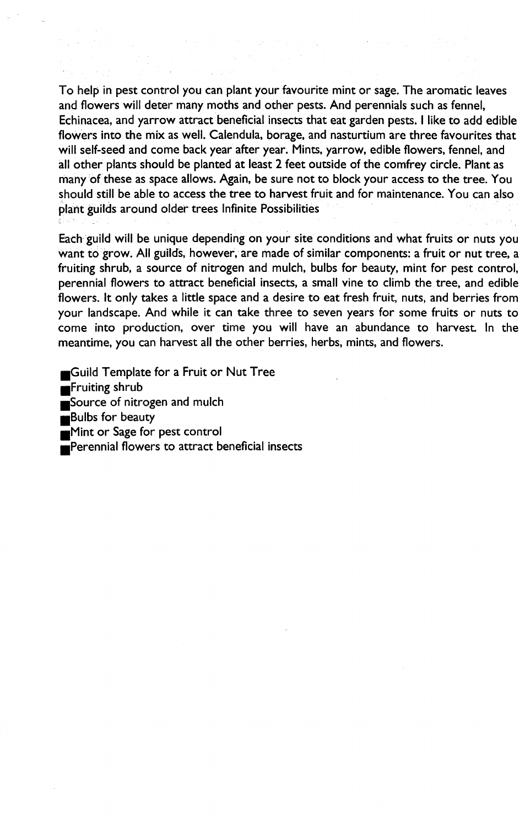To help in pest control you can plant your favourite mint or sage. The aromatic leaves and flowers will deter many moths and other pests. And perennials such as fennel, Echinacea, and yarrow attract beneficial insects that eat garden pests. I like to add edible flowers into the mix as well. Calendula, borage, and nasturtium are three favourites that will self-seed and come back year after year. Mints, yarrow, edible flowers, fennel, and all other plants should be planted at least 2 feet outside of the comfrey circle. Plant as many of these as space allows. Again, be sure not to block your access to the tree. You should still be able to access the tree to harvest fruit and for maintenance. You can also plant guilds around older trees Infinite Possibilities

Each guild will be unique depending on your site conditions and what fruits or nuts you Want to grow. All guilds, however, are made of similar components: a fruit or nut tree, a fruiting shrub, a source of nitrogen and mulch, bulbs for beauty, mint for pest control, perennial flowers to attract beneficial insects, a small vine to climb the tree, and edible flowers. It only takes a little space and a desire to eat fresh fruit, nuts, and berries from your landscape. And while it can take three to seven years for some fruits or nuts to come into production, over time you will have an abundance to harvest. In the meantime, you can harvest all the other berries, herbs, mints, and flowers.

Guild Template for a Fruit or Nut Tree Fruiting shrub Source of nitrogen and mulch **Bulbs** for beauty **Mint or Sage for pest control** Perennial flowers to attract beneficial insects